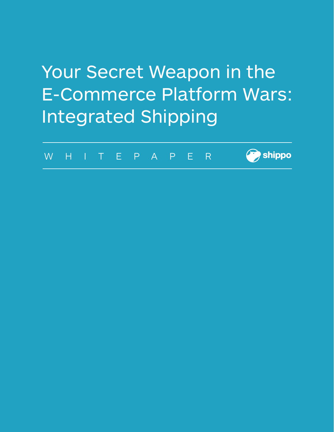# Your Secret Weapon in the E-Commerce Platform Wars: Integrated Shipping

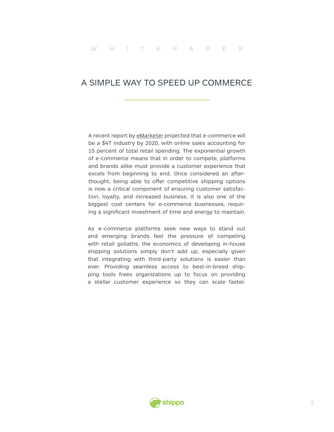#### A SIMPLE WAY TO SPEED UP COMMERCE

A recent report by [eMarketer](https://www.emarketer.com/Article/Worldwide-Retail-Ecommerce-Sales-Will-Reach-1915-Trillion-This-Year/1014369) projected that e-commerce will be a \$4T industry by 2020, with online sales accounting for 15 percent of total retail spending. The exponential growth of e-commerce means that in order to compete, platforms and brands alike must provide a customer experience that excels from beginning to end. Once considered an afterthought, being able to offer competitive shipping options is now a critical component of ensuring customer satisfaction, loyalty, and increased business. It is also one of the biggest cost centers for e-commerce businesses, requiring a significant investment of time and energy to maintain.

As e-commerce platforms seek new ways to stand out and emerging brands feel the pressure of competing with retail goliaths, the economics of developing in-house shipping solutions simply don't add up, especially given that integrating with third-party solutions is easier than ever. Providing seamless access to best-in-breed shipping tools frees organizations up to focus on providing a stellar customer experience so they can scale faster.

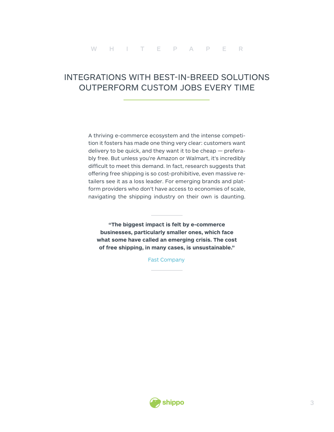## INTEGRATIONS WITH BEST-IN-BREED SOLUTIONS OUTPERFORM CUSTOM JOBS EVERY TIME

A thriving e-commerce ecosystem and the intense competition it fosters has made one thing very clear: customers want delivery to be quick, and they want it to be cheap — preferably free. But unless you're Amazon or Walmart, it's incredibly difficult to meet this demand. In fact, research suggests that offering free shipping is so cost-prohibitive, even massive retailers see it as a loss leader. For emerging brands and platform providers who don't have access to economies of scale, navigating the shipping industry on their own is daunting.

**"The biggest impact is felt by e-commerce businesses, particularly smaller ones, which face what some have called an emerging crisis. The cost of free shipping, in many cases, is unsustainable."**

[Fast Company](https://www.fastcompany.com/3061686/free-shipping-is-a-lie)

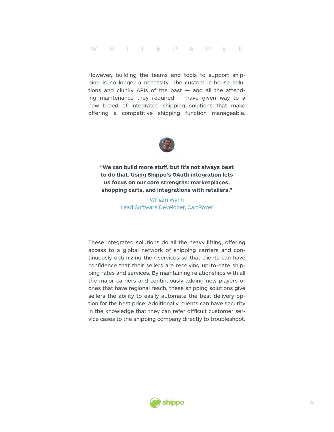However, building the teams and tools to support shipping is no longer a necessity. The custom in-house solutions and clunky APIs of the past  $-$  and all the attending maintenance they required  $-$  have given way to a new breed of integrated shipping solutions that make offering a competitive shipping function manageable.



**"We can build more stuff, but it's not always best to do that. Using Shippo's OAuth integration lets us focus on our core strengths: marketplaces, shopping carts, and integrations with retailers."** 

> William Wynn Lead Software Developer, CartRover

These integrated solutions do all the heavy lifting, offering access to a global network of shipping carriers and continuously optimizing their services so that clients can have confidence that their sellers are receiving up-to-date shipping rates and services. By maintaining relationships with all the major carriers and continuously adding new players or ones that have regional reach, these shipping solutions give sellers the ability to easily automate the best delivery option for the best price. Additionally, clients can have security in the knowledge that they can refer difficult customer service cases to the shipping company directly to troubleshoot.

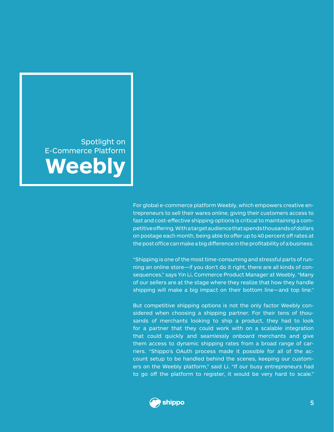Spotlight on E-Commerce Platform **Weebly**

> For global e-commerce platform Weebly, which empowers creative entrepreneurs to sell their wares online, giving their customers access to fast and cost-effective shipping options is critical to maintaining a competitive offering. With a target audience that spends thousands of dollars on postage each month, being able to offer up to 40 percent off rates at the post office can make a big difference in the profitability of a business.

> "Shipping is one of the most time-consuming and stressful parts of running an online store—if you don't do it right, there are all kinds of consequences," says Yin Li, Commerce Product Manager at Weebly. "Many of our sellers are at the stage where they realize that how they handle shipping will make a big impact on their bottom line—and top line."

> But competitive shipping options is not the only factor Weebly considered when choosing a shipping partner. For their tens of thousands of merchants looking to ship a product, they had to look for a partner that they could work with on a scalable integration that could quickly and seamlessly onboard merchants and give them access to dynamic shipping rates from a broad range of carriers. "Shippo's OAuth process made it possible for all of the account setup to be handled behind the scenes, keeping our customers on the Weebly platform," said Li. "If our busy entrepreneurs had to go off the platform to register, it would be very hard to scale."

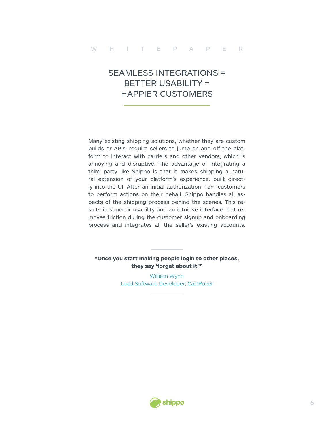# SEAMLESS INTEGRATIONS = BETTER USABILITY = HAPPIER CUSTOMERS

Many existing shipping solutions, whether they are custom builds or APIs, require sellers to jump on and off the platform to interact with carriers and other vendors, which is annoying and disruptive. The advantage of integrating a third party like Shippo is that it makes shipping a natural extension of your platform's experience, built directly into the UI. After an initial authorization from customers to perform actions on their behalf, Shippo handles all aspects of the shipping process behind the scenes. This results in superior usability and an intuitive interface that removes friction during the customer signup and onboarding process and integrates all the seller's existing accounts.

#### **"Once you start making people login to other places, they say 'forget about it.'"**

William Wynn Lead Software Developer, CartRover

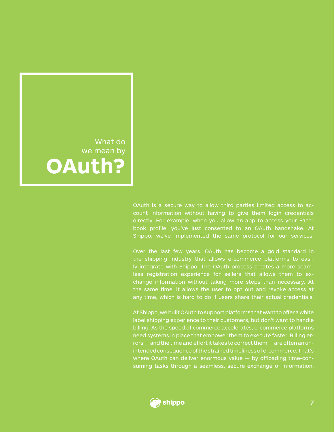What do we mean by **OAuth?**

> OAuth is a secure way to allow third parties limited access to account information without having to give them login credentials directly. For example, when you allow an app to access your Facebook profile, you've just consented to an OAuth handshake. At Shippo, we've implemented the same protocol for our services.

> Over the last few years, OAuth has become a gold standard in the shipping industry that allows e-commerce platforms to easily integrate with Shippo. The OAuth process creates a more seamless registration experience for sellers that allows them to exchange information without taking more steps than necessary. At the same time, it allows the user to opt out and revoke access at any time, which is hard to do if users share their actual credentials.

> At Shippo, we built OAuth to support platforms that want to offer a white label shipping experience to their customers, but don't want to handle billing. As the speed of commerce accelerates, e-commerce platforms need systems in place that empower them to execute faster. Billing errors — and the time and effort it takes to correct them — are often an unintended consequence of the strained timeliness of e-commerce. That's where OAuth can deliver enormous value — by offloading time-consuming tasks through a seamless, secure exchange of information.

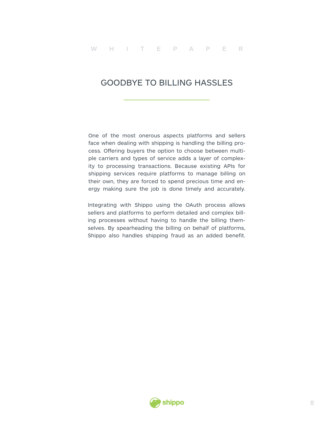#### GOODBYE TO BILLING HASSLES

One of the most onerous aspects platforms and sellers face when dealing with shipping is handling the billing process. Offering buyers the option to choose between multiple carriers and types of service adds a layer of complexity to processing transactions. Because existing APIs for shipping services require platforms to manage billing on their own, they are forced to spend precious time and energy making sure the job is done timely and accurately.

Integrating with Shippo using the OAuth process allows sellers and platforms to perform detailed and complex billing processes without having to handle the billing themselves. By spearheading the billing on behalf of platforms, Shippo also handles shipping fraud as an added benefit.

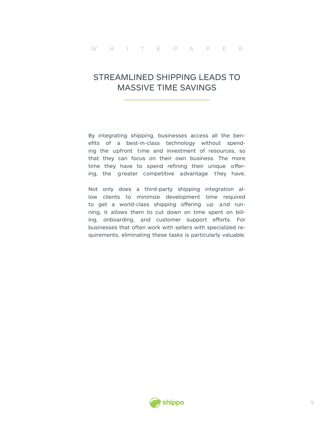### STREAMLINED SHIPPING LEADS TO MASSIVE TIME SAVINGS

By integrating shipping, businesses access all the benefits of a best-in-class technology without spending the upfront time and investment of resources, so that they can focus on their own business. The more time they have to spend refining their unique offering, the g reater competitive advantage they have.

Not only does a third-party shipping integration allow clients to minimize development time required to get a world-class shipping offering up and running, it allows them to cut down on time spent on billing, onboarding, and customer support efforts. For businesses that often work with sellers with specialized requirements, eliminating these tasks is particularly valuable.

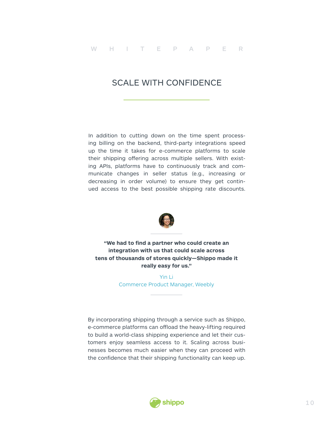#### SCALE WITH CONFIDENCE

In addition to cutting down on the time spent processing billing on the backend, third-party integrations speed up the time it takes for e-commerce platforms to scale their shipping offering across multiple sellers. With existing APIs, platforms have to continuously track and communicate changes in seller status (e.g., increasing or decreasing in order volume) to ensure they get continued access to the best possible shipping rate discounts.



**"We had to find a partner who could create an integration with us that could scale across tens of thousands of stores quickly—Shippo made it really easy for us."**

> Yin Li Commerce Product Manager, Weebly

By incorporating shipping through a service such as Shippo, e-commerce platforms can offload the heavy-lifting required to build a world-class shipping experience and let their customers enjoy seamless access to it. Scaling across businesses becomes much easier when they can proceed with the confidence that their shipping functionality can keep up.

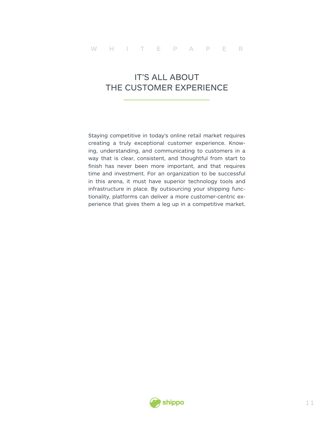# IT'S ALL ABOUT THE CUSTOMER EXPERIENCE

Staying competitive in today's online retail market requires creating a truly exceptional customer experience. Knowing, understanding, and communicating to customers in a way that is clear, consistent, and thoughtful from start to finish has never been more important, and that requires time and investment. For an organization to be successful in this arena, it must have superior technology tools and infrastructure in place. By outsourcing your shipping functionality, platforms can deliver a more customer-centric experience that gives them a leg up in a competitive market.